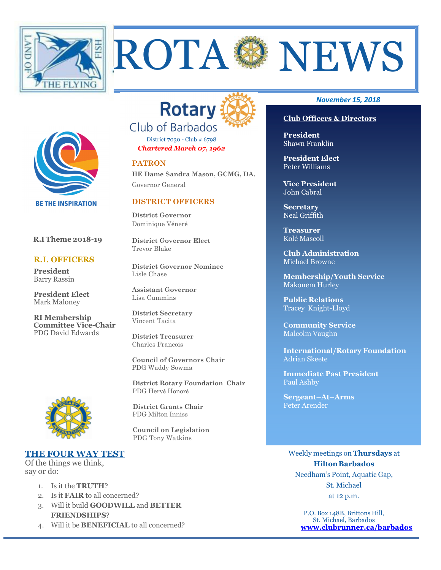



ROTA SANEWS

District 7030 - Club # 6798 *Chartered March 07, 1962* 

#### **PATRON**

**HE Dame Sandra Mason, GCMG, DA.**  Governor General

## **DISTRICT OFFICERS**

**District Governor** Dominique Véneré

**District Governor Elect** Trevor Blake

**District Governor Nominee**  Lisle Chase

**Assistant Governor**  Lisa Cummins

**District Secretary**  Vincent Tacita

Charles Francois

PDG Waddy Sowma

 **District Rotary Foundation Chair** PDG Hervé Honoré



 **R.I Theme 2018-19** 

**BE THE INSPIRATION** 

 **R.I. OFFICERS** 

**President Elect** Mark Maloney

**RI Membership Committee Vice-Chair**  PDG David Edwards

**President** Barry Rassin

> **District Grants Chair** PDG Milton Inniss

 **Council on Legislation**  PDG Tony Watkins

## **THE FOUR WAY TEST**

Of the things we think, say or do:

- 1. Is it the **TRUTH**?
- 2. Is it **FAIR** to all concerned?
- 3. Will it build **GOODWILL** and **BETTER FRIENDSHIPS**?
- 4. Will it be **BENEFICIAL** to all concerned?

#### *November 15, 2018*

## **Club Officers & Directors**

**President** Shawn Franklin

**President Elect**  Peter Williams

**Vice President**  John Cabral

**Secretary**  Neal Griffith

**Treasurer**  Kolé Mascoll

**Club Administration**  Michael Browne

**Membership/Youth Service**  Makonem Hurley

**Public Relations**  Tracey Knight-Lloyd

**Community Service**  Malcolm Vaughn

**International/Rotary Foundation**  Adrian Skeete

**Immediate Past President**  Paul Ashby

**Sergeant–At–Arms**  Peter Arender

Weekly meetings on **Thursdays** at **Hilton Barbados** Needham's Point, Aquatic Gap, St. Michael at 12 p.m.

> P.O. Box 148B, Brittons Hill, St. Michael, Barbados **www.clubrunner.ca/barbados**

# **District Treasurer**

**Council of Governors Chair**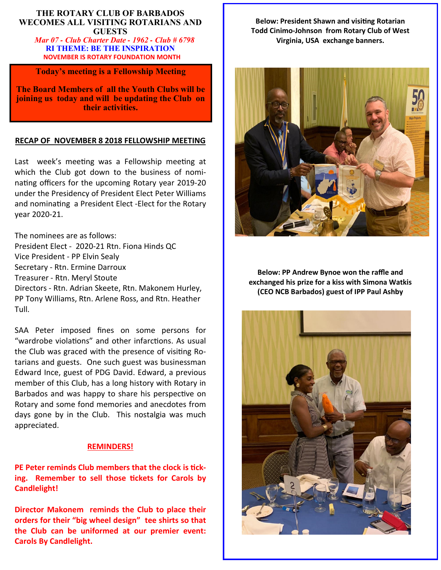## **THE ROTARY CLUB OF BARBADOS WECOMES ALL VISITING ROTARIANS AND GUESTS**

 *Mar 07 - Club Charter Date - 1962 - Club # 6798* **RI THEME: BE THE INSPIRATION NOVEMBER IS ROTARY FOUNDATION MONTH** 

**Today's meeting is a Fellowship Meeting** 

**The Board Members of all the Youth Clubs will be joining us today and will be updating the Club on their activities.** 

## **RECAP OF NOVEMBER 8 2018 FELLOWSHIP MEETING**

Last week's meeting was a Fellowship meeting at which the Club got down to the business of nominating officers for the upcoming Rotary year 2019-20 under the Presidency of President Elect Peter Williams and nominating a President Elect -Elect for the Rotary year 2020-21.

The nominees are as follows: President Elect - 2020-21 Rtn. Fiona Hinds QC Vice President - PP Elvin Sealy Secretary - Rtn. Ermine Darroux Treasurer - Rtn. Meryl Stoute Directors - Rtn. Adrian Skeete, Rtn. Makonem Hurley, PP Tony Williams, Rtn. Arlene Ross, and Rtn. Heather Tull.

SAA Peter imposed fines on some persons for "wardrobe violations" and other infarctions. As usual the Club was graced with the presence of vising Rotarians and guests. One such guest was businessman Edward Ince, guest of PDG David. Edward, a previous member of this Club, has a long history with Rotary in Barbados and was happy to share his perspective on Rotary and some fond memories and anecdotes from days gone by in the Club. This nostalgia was much appreciated.

## **REMINDERS!**

**PE Peter reminds Club members that the clock is tick**ing. Remember to sell those tickets for Carols by **Candlelight!** 

**Director Makonem reminds the Club to place their orders for their "big wheel design" tee shirts so that the Club can be uniformed at our premier event: Carols By Candlelight.** 

**Below: President Shawn and visiting Rotarian Todd Cinimo-Johnson from Rotary Club of West Virginia, USA exchange banners.** 



**Below: PP Andrew Bynoe won the raffle and exchanged his prize for a kiss with Simona Watkis (CEO NCB Barbados) guest of IPP Paul Ashby** 

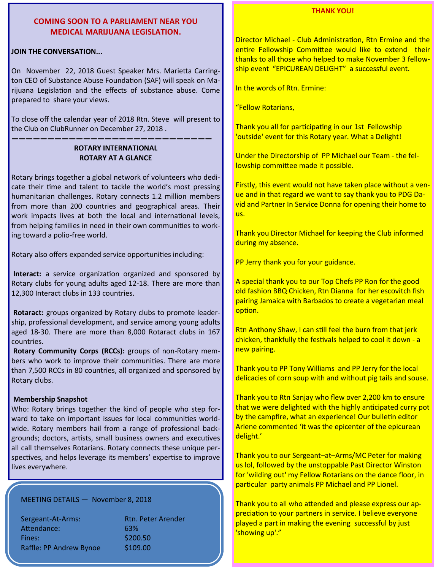## **COMING SOON TO A PARLIAMENT NEAR YOU MEDICAL MARIJUANA LEGISLATION.**

#### **JOIN THE CONVERSATION...**

On November 22, 2018 Guest Speaker Mrs. Marietta Carrington CEO of Substance Abuse Foundation (SAF) will speak on Marijuana Legislation and the effects of substance abuse. Come prepared to share your views.

To close off the calendar year of 2018 Rtn. Steve will present to the Club on ClubRunner on December 27, 2018 .

## **ROTARY INTERNATIONAL ROTARY AT A GLANCE**

**————————————————————————————** 

Rotary brings together a global network of volunteers who dedicate their time and talent to tackle the world's most pressing humanitarian challenges. Rotary connects 1.2 million members from more than 200 countries and geographical areas. Their work impacts lives at both the local and international levels, from helping families in need in their own communities to working toward a polio-free world.

Rotary also offers expanded service opportunities including:

Interact: a service organization organized and sponsored by Rotary clubs for young adults aged 12-18. There are more than 12,300 Interact clubs in 133 countries.

 **Rotaract:** groups organized by Rotary clubs to promote leadership, professional development, and service among young adults aged 18-30. There are more than 8,000 Rotaract clubs in 167 countries.

**Rotary Community Corps (RCCs):** groups of non-Rotary members who work to improve their communities. There are more than 7,500 RCCs in 80 countries, all organized and sponsored by Rotary clubs.

## **Membership Snapshot**

Who: Rotary brings together the kind of people who step forward to take on important issues for local communities worldwide. Rotary members hail from a range of professional backgrounds; doctors, artists, small business owners and executives all call themselves Rotarians. Rotary connects these unique perspectives, and helps leverage its members' expertise to improve lives everywhere.

MEETING DETAILS — November 8, 2018

Sergeant-At-Arms: Rtn. Peter Arender Attendance: 63% Fines: \$200.50 Raffle: PP Andrew Bynoe \$109.00

### **THANK YOU!**

Director Michael - Club Administration, Rtn Ermine and the entire Fellowship Committee would like to extend their thanks to all those who helped to make November 3 fellowship event "EPICUREAN DELIGHT" a successful event.

In the words of Rtn. Ermine:

"Fellow Rotarians,

Thank you all for participating in our 1st Fellowship 'outside' event for this Rotary year. What a Delight!

Under the Directorship of PP Michael our Team - the fellowship committee made it possible.

Firstly, this event would not have taken place without a venue and in that regard we want to say thank you to PDG David and Partner In Service Donna for opening their home to us.

Thank you Director Michael for keeping the Club informed during my absence.

PP Jerry thank you for your guidance.

A special thank you to our Top Chefs PP Ron for the good old fashion BBQ Chicken, Rtn Dianna for her escovitch fish pairing Jamaica with Barbados to create a vegetarian meal option.

Rtn Anthony Shaw, I can still feel the burn from that jerk chicken, thankfully the festivals helped to cool it down - a new pairing.

Thank you to PP Tony Williams and PP Jerry for the local delicacies of corn soup with and without pig tails and souse.

Thank you to Rtn Sanjay who flew over 2,200 km to ensure that we were delighted with the highly anticipated curry pot by the campfire, what an experience! Our bulletin editor Arlene commented 'it was the epicenter of the epicurean delight.'

Thank you to our Sergeant–at–Arms/MC Peter for making us lol, followed by the unstoppable Past Director Winston for 'wilding out' my Fellow Rotarians on the dance floor, in particular party animals PP Michael and PP Lionel.

Thank you to all who attended and please express our appreciation to your partners in service. I believe everyone played a part in making the evening successful by just 'showing up'."